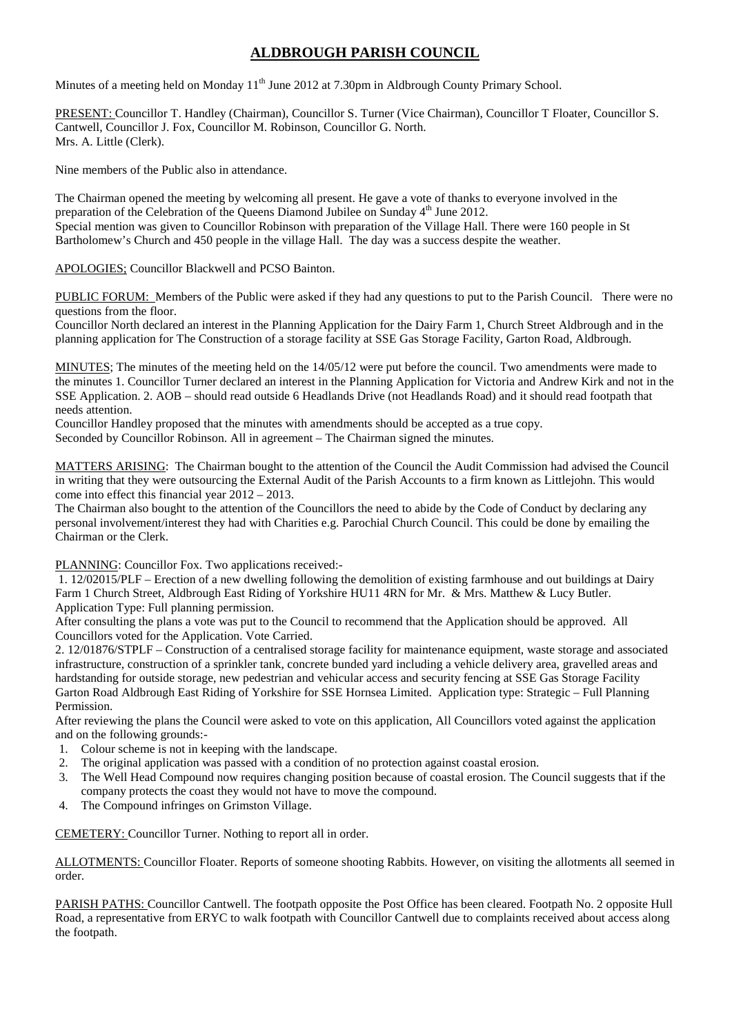## **ALDBROUGH PARISH COUNCIL**

Minutes of a meeting held on Monday 11<sup>th</sup> June 2012 at 7.30pm in Aldbrough County Primary School.

PRESENT: Councillor T. Handley (Chairman), Councillor S. Turner (Vice Chairman), Councillor T Floater, Councillor S. Cantwell, Councillor J. Fox, Councillor M. Robinson, Councillor G. North. Mrs. A. Little (Clerk).

Nine members of the Public also in attendance.

The Chairman opened the meeting by welcoming all present. He gave a vote of thanks to everyone involved in the preparation of the Celebration of the Queens Diamond Jubilee on Sunday 4<sup>th</sup> June 2012. Special mention was given to Councillor Robinson with preparation of the Village Hall. There were 160 people in St Bartholomew's Church and 450 people in the village Hall. The day was a success despite the weather.

APOLOGIES; Councillor Blackwell and PCSO Bainton.

PUBLIC FORUM: Members of the Public were asked if they had any questions to put to the Parish Council. There were no questions from the floor.

Councillor North declared an interest in the Planning Application for the Dairy Farm 1, Church Street Aldbrough and in the planning application for The Construction of a storage facility at SSE Gas Storage Facility, Garton Road, Aldbrough.

MINUTES; The minutes of the meeting held on the 14/05/12 were put before the council. Two amendments were made to the minutes 1. Councillor Turner declared an interest in the Planning Application for Victoria and Andrew Kirk and not in the SSE Application. 2. AOB – should read outside 6 Headlands Drive (not Headlands Road) and it should read footpath that needs attention.

Councillor Handley proposed that the minutes with amendments should be accepted as a true copy. Seconded by Councillor Robinson. All in agreement – The Chairman signed the minutes.

MATTERS ARISING: The Chairman bought to the attention of the Council the Audit Commission had advised the Council in writing that they were outsourcing the External Audit of the Parish Accounts to a firm known as Littlejohn. This would come into effect this financial year 2012 – 2013.

The Chairman also bought to the attention of the Councillors the need to abide by the Code of Conduct by declaring any personal involvement/interest they had with Charities e.g. Parochial Church Council. This could be done by emailing the Chairman or the Clerk.

PLANNING: Councillor Fox. Two applications received:-

1. 12/02015/PLF – Erection of a new dwelling following the demolition of existing farmhouse and out buildings at Dairy Farm 1 Church Street, Aldbrough East Riding of Yorkshire HU11 4RN for Mr. & Mrs. Matthew & Lucy Butler. Application Type: Full planning permission.

After consulting the plans a vote was put to the Council to recommend that the Application should be approved. All Councillors voted for the Application. Vote Carried.

2. 12/01876/STPLF – Construction of a centralised storage facility for maintenance equipment, waste storage and associated infrastructure, construction of a sprinkler tank, concrete bunded yard including a vehicle delivery area, gravelled areas and hardstanding for outside storage, new pedestrian and vehicular access and security fencing at SSE Gas Storage Facility Garton Road Aldbrough East Riding of Yorkshire for SSE Hornsea Limited. Application type: Strategic – Full Planning Permission.

After reviewing the plans the Council were asked to vote on this application, All Councillors voted against the application and on the following grounds:-

- 1. Colour scheme is not in keeping with the landscape.
- 2. The original application was passed with a condition of no protection against coastal erosion.
- 3. The Well Head Compound now requires changing position because of coastal erosion. The Council suggests that if the company protects the coast they would not have to move the compound.
- 4. The Compound infringes on Grimston Village.

CEMETERY: Councillor Turner. Nothing to report all in order.

ALLOTMENTS: Councillor Floater. Reports of someone shooting Rabbits. However, on visiting the allotments all seemed in order.

PARISH PATHS: Councillor Cantwell. The footpath opposite the Post Office has been cleared. Footpath No. 2 opposite Hull Road, a representative from ERYC to walk footpath with Councillor Cantwell due to complaints received about access along the footpath.